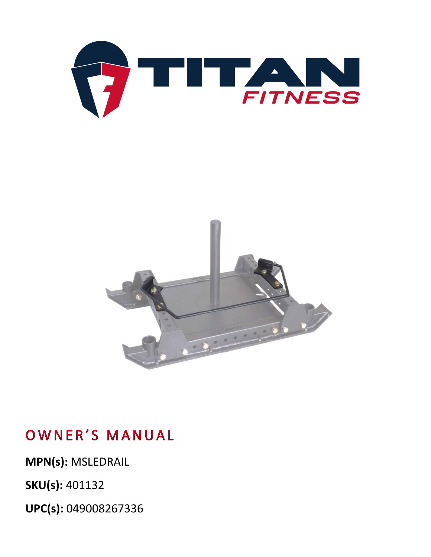



## OWNER'S MANUAL

**MPN(s):** MSLEDRAIL

**SKU(s):** 401132

**UPC(s):** 049008267336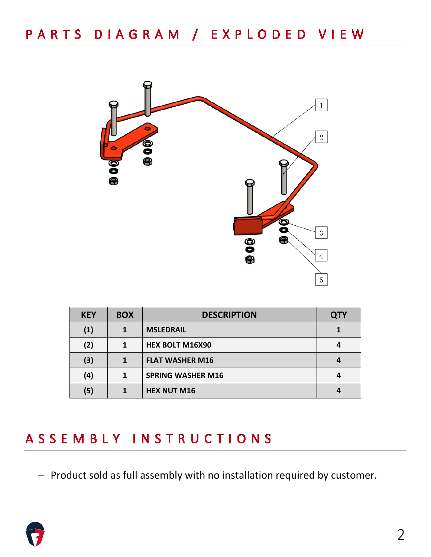

| <b>KEY</b> | <b>BOX</b> | <b>DESCRIPTION</b>       | <b>QTY</b> |
|------------|------------|--------------------------|------------|
| (1)        |            | <b>MSLEDRAIL</b>         |            |
| (2)        | 1          | <b>HEX BOLT M16X90</b>   |            |
| (3)        |            | <b>FLAT WASHER M16</b>   |            |
| (4)        | 1          | <b>SPRING WASHER M16</b> |            |
| (5)        |            | <b>HEX NUT M16</b>       |            |

### ASSEMBLY INSTRUCTIONS

− Product sold as full assembly with no installation required by customer.